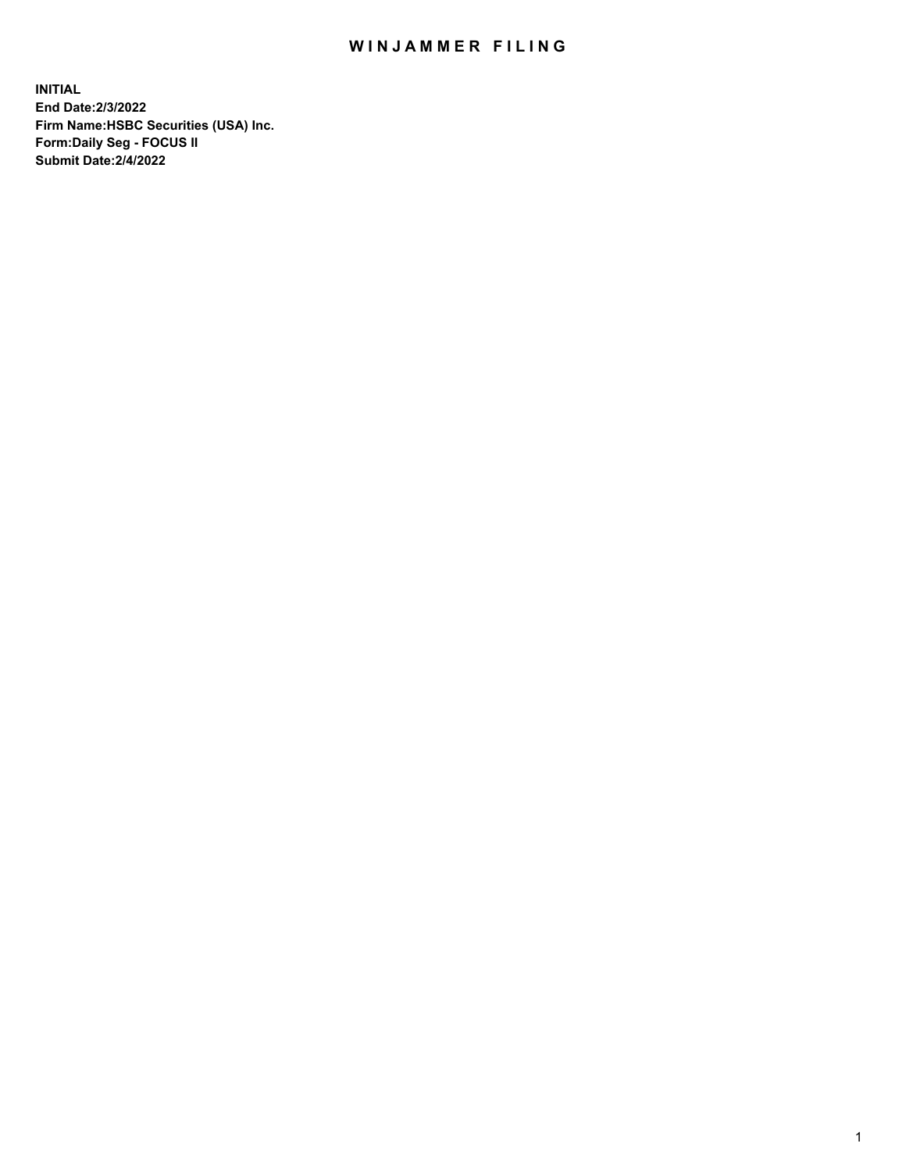## WIN JAMMER FILING

**INITIAL End Date:2/3/2022 Firm Name:HSBC Securities (USA) Inc. Form:Daily Seg - FOCUS II Submit Date:2/4/2022**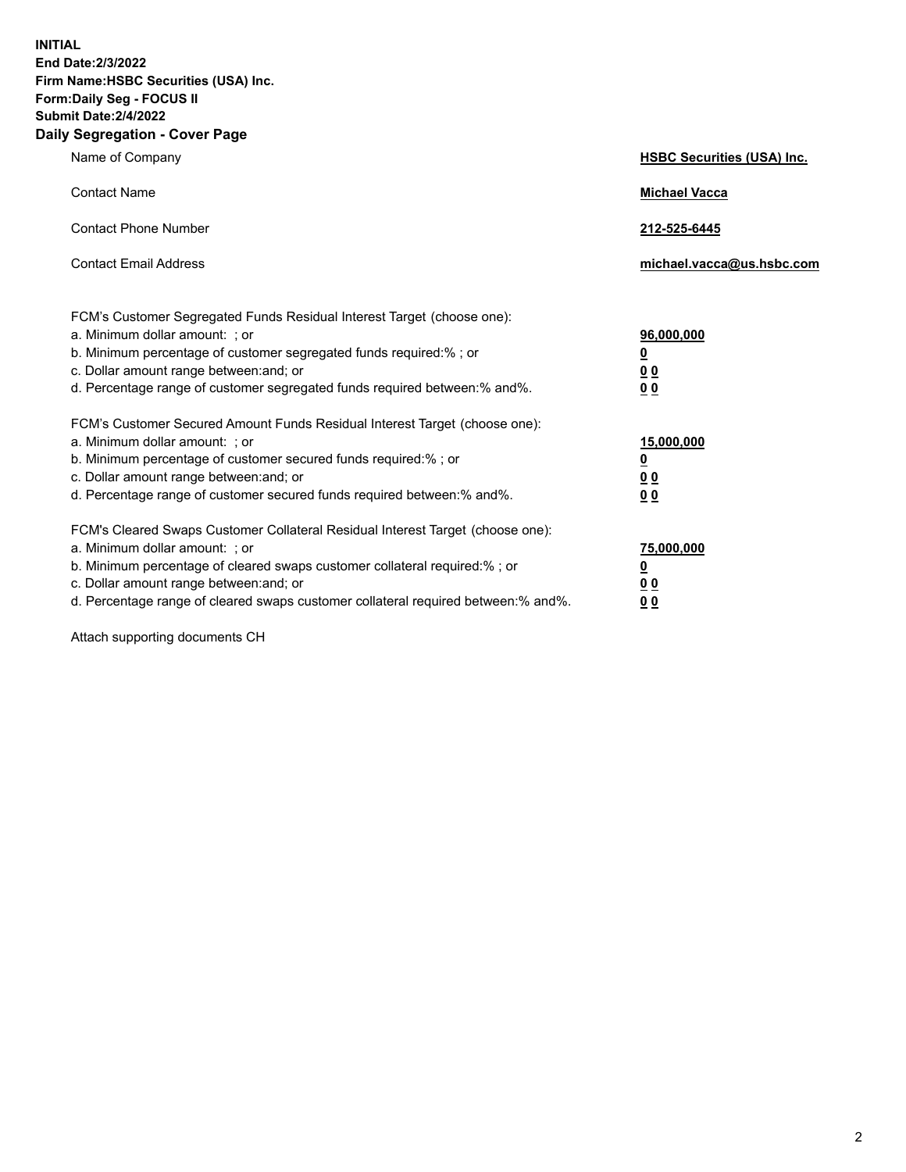**INITIAL End Date:2/3/2022 Firm Name:HSBC Securities (USA) Inc. Form:Daily Seg - FOCUS II Submit Date:2/4/2022 Daily Segregation - Cover Page**

| Name of Company                                                                                                                                                                                                                                                                                                                | <b>HSBC Securities (USA) Inc.</b>                          |
|--------------------------------------------------------------------------------------------------------------------------------------------------------------------------------------------------------------------------------------------------------------------------------------------------------------------------------|------------------------------------------------------------|
| <b>Contact Name</b>                                                                                                                                                                                                                                                                                                            | <b>Michael Vacca</b>                                       |
| <b>Contact Phone Number</b>                                                                                                                                                                                                                                                                                                    | 212-525-6445                                               |
| <b>Contact Email Address</b>                                                                                                                                                                                                                                                                                                   | michael.vacca@us.hsbc.com                                  |
| FCM's Customer Segregated Funds Residual Interest Target (choose one):<br>a. Minimum dollar amount: ; or<br>b. Minimum percentage of customer segregated funds required:% ; or<br>c. Dollar amount range between: and; or<br>d. Percentage range of customer segregated funds required between:% and%.                         | 96,000,000<br><u>0</u><br>0 <sub>0</sub><br>0 <sub>0</sub> |
| FCM's Customer Secured Amount Funds Residual Interest Target (choose one):<br>a. Minimum dollar amount: ; or<br>b. Minimum percentage of customer secured funds required:%; or<br>c. Dollar amount range between: and; or<br>d. Percentage range of customer secured funds required between:% and%.                            | 15,000,000<br><u>0</u><br>0 <sub>0</sub><br>00             |
| FCM's Cleared Swaps Customer Collateral Residual Interest Target (choose one):<br>a. Minimum dollar amount: ; or<br>b. Minimum percentage of cleared swaps customer collateral required:% ; or<br>c. Dollar amount range between: and; or<br>d. Percentage range of cleared swaps customer collateral required between:% and%. | 75,000,000<br><u>0</u><br><u>00</u><br>00                  |

Attach supporting documents CH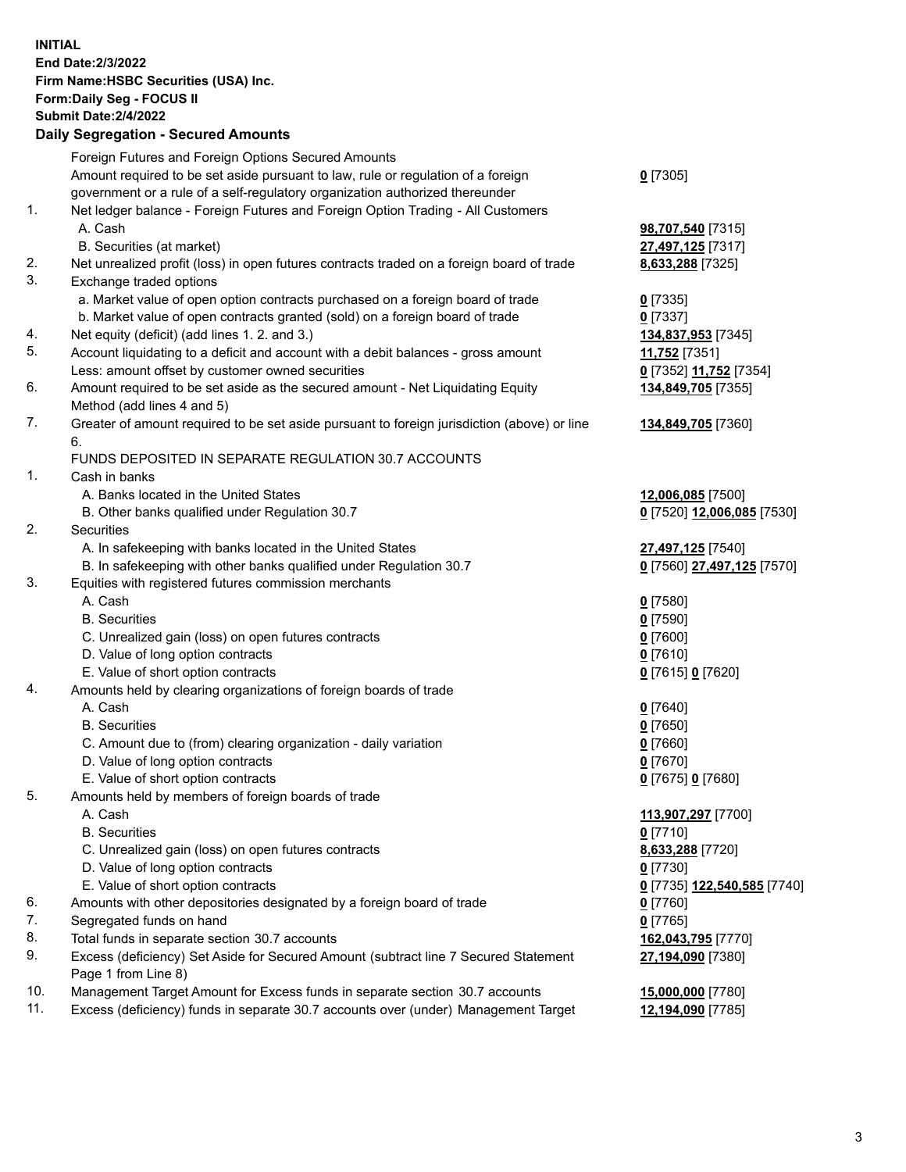**INITIAL End Date:2/3/2022 Firm Name:HSBC Securities (USA) Inc. Form:Daily Seg - FOCUS II Submit Date:2/4/2022 Daily Segregation - Secured Amounts** Foreign Futures and Foreign Options Secured Amounts Amount required to be set aside pursuant to law, rule or regulation of a foreign government or a rule of a self-regulatory organization authorized thereunder **0** [7305] 1. Net ledger balance - Foreign Futures and Foreign Option Trading - All Customers A. Cash **98,707,540** [7315] B. Securities (at market) **27,497,125** [7317] 2. Net unrealized profit (loss) in open futures contracts traded on a foreign board of trade **8,633,288** [7325] 3. Exchange traded options a. Market value of open option contracts purchased on a foreign board of trade **0** [7335] b. Market value of open contracts granted (sold) on a foreign board of trade **0** [7337] 4. Net equity (deficit) (add lines 1. 2. and 3.) **134,837,953** [7345] 5. Account liquidating to a deficit and account with a debit balances - gross amount **11,752** [7351] Less: amount offset by customer owned securities **0** [7352] **11,752** [7354] 6. Amount required to be set aside as the secured amount - Net Liquidating Equity Method (add lines 4 and 5) **134,849,705** [7355] 7. Greater of amount required to be set aside pursuant to foreign jurisdiction (above) or line 6. **134,849,705** [7360] FUNDS DEPOSITED IN SEPARATE REGULATION 30.7 ACCOUNTS 1. Cash in banks A. Banks located in the United States **12,006,085** [7500] B. Other banks qualified under Regulation 30.7 **0** [7520] **12,006,085** [7530] 2. Securities A. In safekeeping with banks located in the United States **27,497,125** [7540] B. In safekeeping with other banks qualified under Regulation 30.7 **0** [7560] **27,497,125** [7570] 3. Equities with registered futures commission merchants A. Cash **0** [7580] B. Securities **0** [7590] C. Unrealized gain (loss) on open futures contracts **0** [7600] D. Value of long option contracts **0** [7610] E. Value of short option contracts **0** [7615] **0** [7620] 4. Amounts held by clearing organizations of foreign boards of trade A. Cash **0** [7640] B. Securities **0** [7650] C. Amount due to (from) clearing organization - daily variation **0** [7660] D. Value of long option contracts **0** [7670] E. Value of short option contracts **0** [7675] **0** [7680] 5. Amounts held by members of foreign boards of trade A. Cash **113,907,297** [7700] B. Securities **0** [7710] C. Unrealized gain (loss) on open futures contracts **8,633,288** [7720] D. Value of long option contracts **0** [7730] E. Value of short option contracts **0** [7735] **122,540,585** [7740] 6. Amounts with other depositories designated by a foreign board of trade **0** [7760] 7. Segregated funds on hand **0** [7765] 8. Total funds in separate section 30.7 accounts **162,043,795** [7770] 9. Excess (deficiency) Set Aside for Secured Amount (subtract line 7 Secured Statement Page 1 from Line 8) **27,194,090** [7380] 10. Management Target Amount for Excess funds in separate section 30.7 accounts **15,000,000** [7780] 11. Excess (deficiency) funds in separate 30.7 accounts over (under) Management Target **12,194,090** [7785]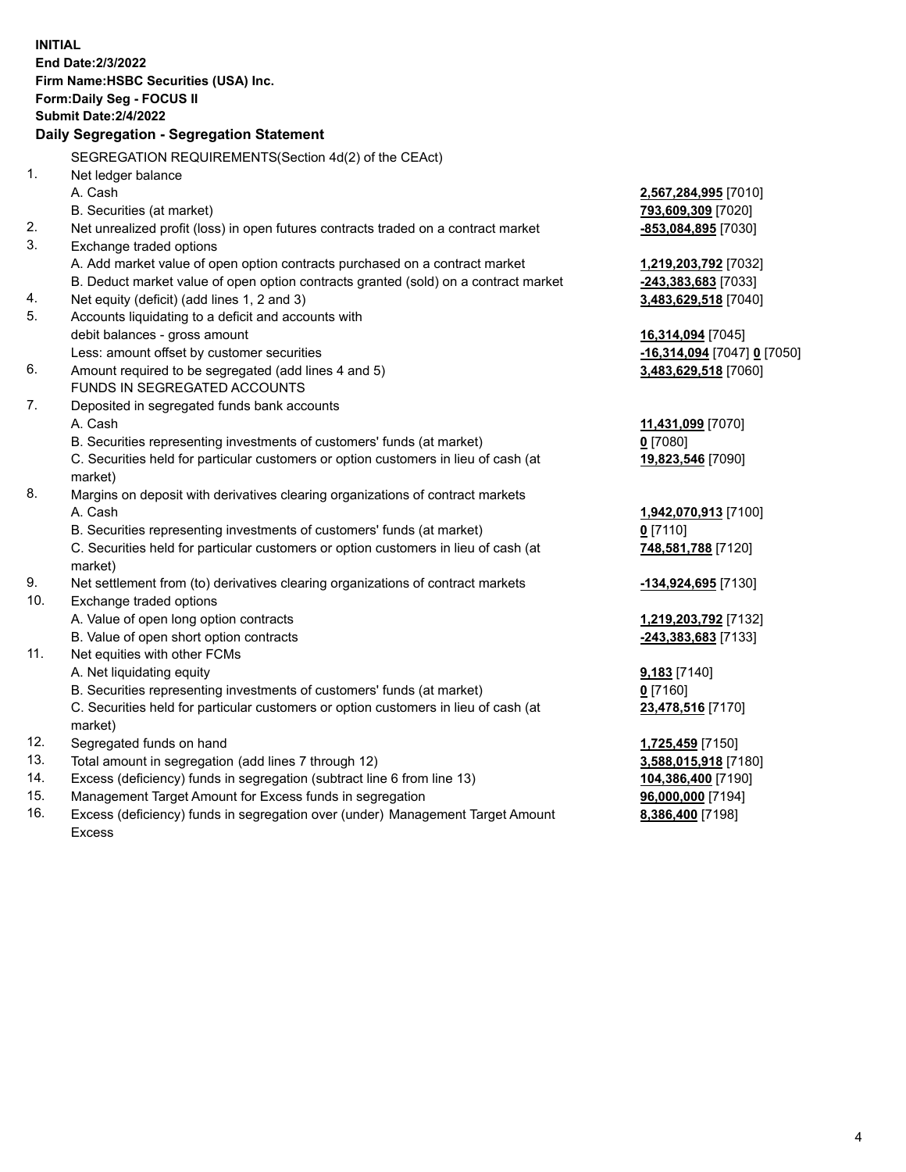| <b>INITIAL</b> |                                                                                                     |                                           |
|----------------|-----------------------------------------------------------------------------------------------------|-------------------------------------------|
|                | End Date: 2/3/2022                                                                                  |                                           |
|                | Firm Name: HSBC Securities (USA) Inc.                                                               |                                           |
|                | <b>Form:Daily Seg - FOCUS II</b>                                                                    |                                           |
|                | <b>Submit Date: 2/4/2022</b>                                                                        |                                           |
|                | Daily Segregation - Segregation Statement                                                           |                                           |
|                | SEGREGATION REQUIREMENTS (Section 4d(2) of the CEAct)                                               |                                           |
| 1.             | Net ledger balance                                                                                  |                                           |
|                | A. Cash                                                                                             | 2,567,284,995 [7010]                      |
|                | B. Securities (at market)                                                                           | 793,609,309 [7020]                        |
| 2.             | Net unrealized profit (loss) in open futures contracts traded on a contract market                  | -853,084,895 [7030]                       |
| 3.             | Exchange traded options                                                                             |                                           |
|                | A. Add market value of open option contracts purchased on a contract market                         | 1,219,203,792 [7032]                      |
|                | B. Deduct market value of open option contracts granted (sold) on a contract market                 | -243,383,683 [7033]                       |
| 4.             | Net equity (deficit) (add lines 1, 2 and 3)                                                         | 3,483,629,518 [7040]                      |
| 5.             | Accounts liquidating to a deficit and accounts with                                                 |                                           |
|                | debit balances - gross amount                                                                       | 16,314,094 [7045]                         |
|                | Less: amount offset by customer securities                                                          | <u>-16,314,094</u> [7047] <u>0</u> [7050] |
| 6.             | Amount required to be segregated (add lines 4 and 5)                                                | 3,483,629,518 [7060]                      |
|                | FUNDS IN SEGREGATED ACCOUNTS                                                                        |                                           |
| 7.             | Deposited in segregated funds bank accounts                                                         |                                           |
|                | A. Cash                                                                                             | 11,431,099 [7070]                         |
|                | B. Securities representing investments of customers' funds (at market)                              | $0$ [7080]                                |
|                | C. Securities held for particular customers or option customers in lieu of cash (at                 | 19,823,546 [7090]                         |
|                | market)                                                                                             |                                           |
| 8.             | Margins on deposit with derivatives clearing organizations of contract markets                      |                                           |
|                | A. Cash                                                                                             | 1,942,070,913 [7100]                      |
|                | B. Securities representing investments of customers' funds (at market)                              | $0$ [7110]                                |
|                | C. Securities held for particular customers or option customers in lieu of cash (at                 | 748,581,788 [7120]                        |
|                | market)                                                                                             |                                           |
| 9.             | Net settlement from (to) derivatives clearing organizations of contract markets                     | <u>-1<b>34,924,695</b></u> [7130]         |
| 10.            | Exchange traded options                                                                             |                                           |
|                | A. Value of open long option contracts                                                              | 1,219,203,792 [7132]                      |
| 11.            | B. Value of open short option contracts                                                             | -243,383,683 [7133]                       |
|                | Net equities with other FCMs                                                                        |                                           |
|                | A. Net liquidating equity<br>B. Securities representing investments of customers' funds (at market) | $9,183$ [7140]                            |
|                |                                                                                                     | $0$ [7160]                                |
|                | C. Securities held for particular customers or option customers in lieu of cash (at                 | 23,478,516 [7170]                         |
| 12.            | market)<br>Segregated funds on hand                                                                 |                                           |
| 13.            | Total amount in segregation (add lines 7 through 12)                                                | 1,725,459 [7150]<br>3,588,015,918 [7180]  |
| 14.            | Excess (deficiency) funds in segregation (subtract line 6 from line 13)                             | 104,386,400 [7190]                        |
| 15.            | Management Target Amount for Excess funds in segregation                                            | 96,000,000 [7194]                         |
|                |                                                                                                     |                                           |

16. Excess (deficiency) funds in segregation over (under) Management Target Amount Excess

**8,386,400** [7198]